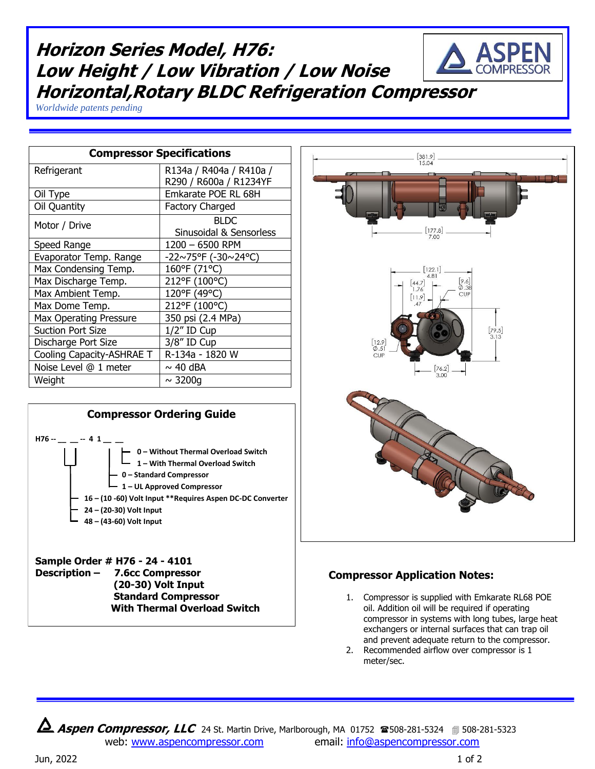## **Horizon Series Model, H76: Low Height / Low Vibration / Low Noise Horizontal,Rotary BLDC Refrigeration Compressor**

*Worldwide patents pending*

| <b>Compressor Specifications</b> |                             |
|----------------------------------|-----------------------------|
| Refrigerant                      | R134a / R404a / R410a /     |
|                                  | R290 / R600a / R1234YF      |
| Oil Type                         | Emkarate POE RL 68H         |
| Oil Quantity                     | <b>Factory Charged</b>      |
| Motor / Drive                    | <b>BLDC</b>                 |
|                                  | Sinusoidal & Sensorless     |
| Speed Range                      | 1200 - 6500 RPM             |
| Evaporator Temp. Range           | $-22 \sim 75$ °F (-30~24°C) |
| Max Condensing Temp.             | 160°F (71°C)                |
| Max Discharge Temp.              | 212°F (100°C)               |
| Max Ambient Temp.                | 120°F (49°C)                |
| Max Dome Temp.                   | 212°F (100°C)               |
| <b>Max Operating Pressure</b>    | 350 psi (2.4 MPa)           |
| <b>Suction Port Size</b>         | 1/2" ID Cup                 |
| Discharge Port Size              | 3/8" ID Cup                 |
| Cooling Capacity-ASHRAE T        | R-134a - 1820 W             |
| Noise Level @ 1 meter            | $\sim$ 40 dBA               |
| Weight                           | $\sim$ 3200q                |



 **Standard Compressor With Thermal Overload Switch** 



## **Compressor Application Notes:**

- 1. Compressor is supplied with Emkarate RL68 POE oil. Addition oil will be required if operating compressor in systems with long tubes, large heat exchangers or internal surfaces that can trap oil and prevent adequate return to the compressor.
- 2. Recommended airflow over compressor is 1 meter/sec.

**Aspen Compressor, LLC** 24 St. Martin Drive, Marlborough, MA 01752 **2508-281-5324** 508-281-5323 web: [www.aspencompressor.com](http://www.aspencompressor.com/) email: [info@aspencompressor.com](mailto:klee@aspencompressor.com)